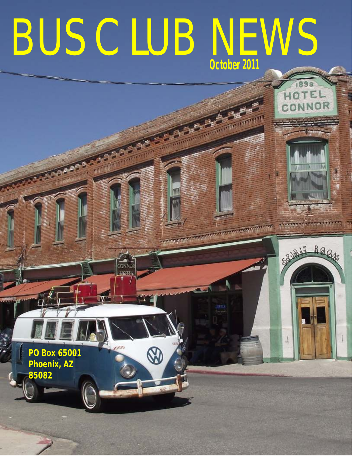# BUS CLUB NEWS **October 2011**

**CONN HeT**  The Action of the Community of the Action of the Action of the Action of the Action of the Action of the Action

**PO Box 65001 Phoenix, AZ 85082**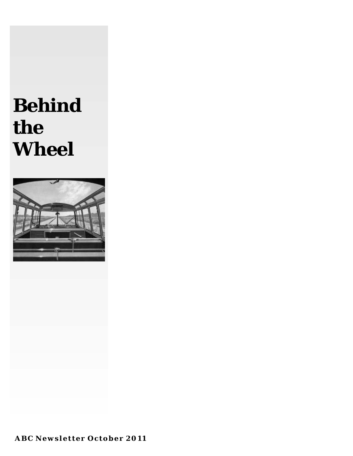## **Behind the Wheel**

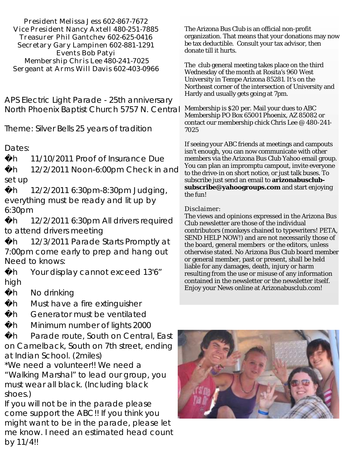President Melissa Jess 602-867-7672 Vice President Nancy Axtell 480-251-7885 Treasurer Phil Gantchev 602-625-0416 Secretary Gary Lampinen 602-881-1291 Events Bob Patyi Membership Chris Lee 480-241-7025 Sergeant at Arms Will Davis 602-403-0966

APS Electric Light Parade - 25th anniversary North Phoenix Baptist Church 5757 N. Central

Theme: Silver Bells 25 years of tradition

Dates:

�h 11/10/2011 Proof of Insurance Due

�h 12/2/2011 Noon-6:00pm Check in and set up

�h 12/2/2011 6:30pm-8:30pm Judging, everything must be ready and lit up by 6:30pm

�h 12/2/2011 6:30pm All drivers required to attend drivers meeting

�h 12/3/2011 Parade Starts Promptly at 7:00pm come early to prep and hang out Need to knows:

�h Your display cannot exceed 13'6" high

- �h No drinking
- �h Must have a fire extinguisher
- �h Generator must be ventilated
- �h Minimum number of lights 2000

�h Parade route, South on Central, East on Camelback, South on 7th street, ending at Indian School. (2miles)

\*We need a volunteer!! We need a "Walking Marshal" to lead our group, you must wear all black. (Including black shoes.)

If you will not be in the parade please come support the ABC!! If you think you might want to be in the parade, please let me know. I need an estimated head count by 11/4!!

The Arizona Bus Club is an official non-profit organization. That means that your donations may now be tax deductible. Consult your tax advisor, then donate till it hurts.

The club general meeting takes place on the third Wednesday of the month at Rosita's 960 West University in Tempe Arizona 85281. It's on the Northeast corner of the intersection of University and Hardy and usually gets going at 7pm.

Membership is \$20 per. Mail your dues to ABC Membership PO Box 65001 Phoenix, AZ 85082 or contact our membership chick Chris Lee @ 480-241- 7025

If seeing your ABC friends at meetings and campouts isn't enough, you can now communicate with other members via the Arizona Bus Club Yahoo email group. You can plan an impromptu campout, invite everyone to the drive-in on short notice, or just talk buses. To subscribe just send an email to **arizonabusclubsubscribe@yahoogroups.com** and start enjoying the fun!

#### Disclaimer:

The views and opinions expressed in the Arizona Bus Club newsletter are those of the individual contributors (monkeys chained to typewriters! PETA, SEND HELP NOW!) and are not necessarily those of the board, general members or the editors, unless otherwise stated. No Arizona Bus Club board member or general member, past or present, shall be held liable for any damages, death, injury or harm resulting from the use or misuse of any information contained in the newsletter or the newsletter itself. Enjoy your News online at Arizonabusclub.com!

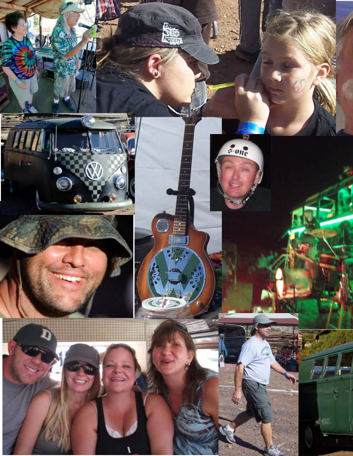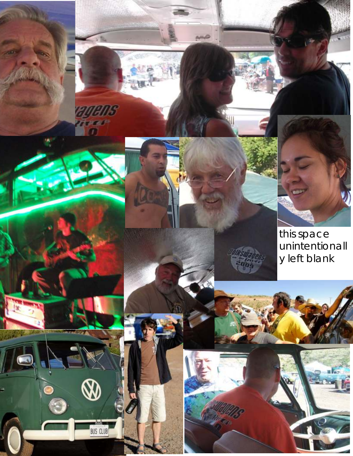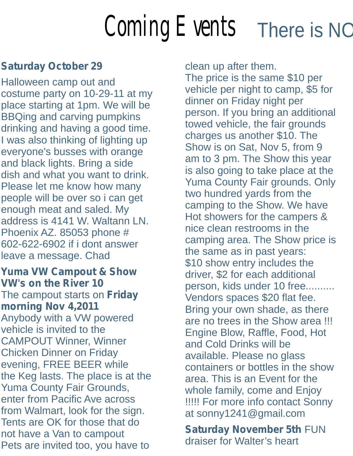# *Coming Events* There is NC

### **Saturday October 29** clean up after them.

Anybody with a VW powered are no trees in the Show area !!!<br>Vehicle is invited to the **Exal Total Total Toggle** CAMPOUT Winner, Winner<br>Chicken Dinner on Friday Chicken Dinner on Friday **December 20th through 11th through 11th available. Please no glass**<br> **Devening, FREE BEER while December 20th and available. Please no glass** the Keg lasts. The place is at the earthcare area. This is an Event for the Party Park Park, Mesa, This is an Event for the Pariot Yuma County Fair Grounds,<br>
enter from Pacific Ave across<br>
THILL For more into contact Soni from Walmart, look for the sign. at sonny1241@gmail.com<br>Tents are OK for those that do Tents are OK for those that do<br> **Saturday November 5th** FUN<br>
Pets are invited too, you have to draiser for Walter's heart

Halloween camp out and<br>
costume party on 10-29-11 at my<br>
place starting at 1pm. We will be<br>
BBQing and carving pumpkins<br>
dinner on Friday night per<br>
person. If you bring an additional<br>
drinking and having a good time<br>
dinn drinking and having a good time.<br>I was also thinking of lighting up<br>everyone's busses with orange show is on Sat, Nov 5, from 9 everyone's busses with orange<br>
and black lights. Bring a side<br>
dish and what you want to drink.<br>
Please let me know how many<br>
people will be over so i can get<br>
enough meat and saled. My<br>
let be sure for the server so a sal address is 4141 W. Waltann LN.<br>
Phoenix AZ. 85053 phone # nice clean restrooms in the<br>
602-622-6902 if i dont answer camping area. The Show price is  $602-622-6902$  if i dont answer<br>leave a message. Chad<br> $\begin{array}{r} \text{the same as in past years:} \\ \text{the same as in past years:} \\ \text{$10$ show entry includes the} \end{array}$ **Yuma VW Campout & Show 1998 Market American State State State - downtown Phoenix. They are do the driver, \$2 for each additional VW's on the River 10** VW's on the River 10<br>The campout starts on Friday erson, kids under 10 free..........<br>morning Nov 4 2011 **morning Nov 4,2011 be a Set of the Show are all the Show are a** Here Anybody with a VW powered are no trees in the Show area II Engine Blow, Raffle, Food, Hot<br>and Cold Drinks will be containers or bottles in the show **PACIFIC EVALUTE: Info contact Sonny 1!!!!!** For more info contact Sonny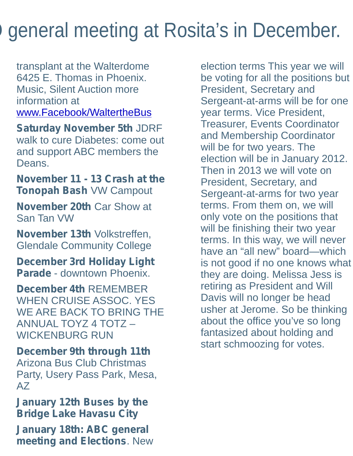## general meeting at Rosita's in December.

Vehicle per night to camp and information at information at a president, Secretary and costume particle party on  $\mathbb{R}^2$  at my night party on  $\mathbb{R}^2$  at my night party on  $\mathbb{R}^2$  at my night particle party on  $\mathbb$ www.Facebook/WaltertheBus

WHEN CRUISE ASSOC. YES<br>
WE ARE BACK TO BRING THE usher at Jerome. So be thinking ANNUAL TOYZ 4 TOTZ – about the office you've so long WICKENBURG RUN fantasized about holding and

**December 9th through 11th** Arizona Bus Club Christmas Party, Usery Pass Park, Mesa, A7 AZ

> **January 12th Buses by the Bridge Lake Havasu City January 18th: ABC general** meeting and Elections. New

transplant at the Walterdome **2008** election terms This year we will The price is the same of 10 per 6425 E. Thomas in Phoenix.<br> **Exame be voting for all the positions but Auction more be and and president.** Secretary and Sergeant-at-arms will be for one year terms. Vice President,<br>Treasurer. Events Coordinator Saturday November 5th JDRF<br>
walk to cure Diabetes: come out<br>
and Membership Coordinator<br>
and Membership Coordinator<br>
will be for two years. The<br>
election will be in January 2012.<br>
Then in 2013 we will vote on<br>
November 11 **November 11 - 13 Crash at the Exercise President, Secretary, and<br>
Tonopah Bash VW Campout** Sergeant-at-arms for two year **November 20th** Car Show at **November 20th** Car Show at **November 20th** Car Show at **notat and sales. The sales and sales and sales and sales and sales and sales and sales and sales and sales and sales and sales and sales** only vote on the positions that<br>will be finishing their two year **November 13th** Volkstreffen,<br>
Glendale Community College<br> **Example 2rd Holiday Light**<br> **Example:** 3rd Holiday Light<br>
Light<br>
Light<br>
Light<br>
Light<br>
Light<br>
Light<br>
Light<br>
Light<br>
Light<br>
Light<br>
Light<br>
Light<br>
Light<br>
Light<br>
Light<br> **10 December 3rd Holiday Light** is not good if no one knows what **Parade** - downtown Phoenix. they are doing. Melissa Jess is **December 4th REMEMBER** retiring as President and Will<br>WHEN CRUISE ASSOC. YES Davis will no longer be head start schmoozing for votes.